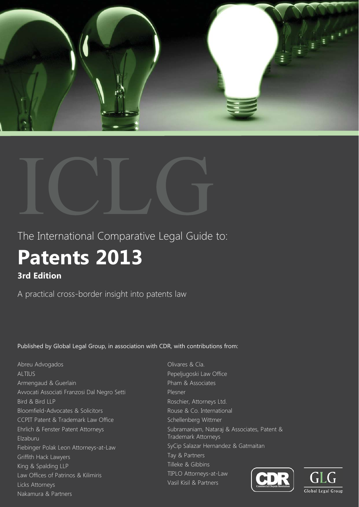



The International Comparative Legal Guide to:

# **Patents 2013 3rd Edition**

A practical cross-border insight into patents law

Published by Global Legal Group, in association with CDR, with contributions from:

Abreu Advogados ALTIUS Armengaud & Guerlain Avvocati Associati Franzosi Dal Negro Setti Bird & Bird LLP Bloomfield-Advocates & Solicitors CCPIT Patent & Trademark Law Office Ehrlich & Fenster Patent Attorneys Elzaburu Fiebinger Polak Leon Attorneys-at-Law Griffith Hack Lawyers King & Spalding LLP Law Offices of Patrinos & Kilimiris Licks Attorneys Nakamura & Partners

Olivares & Cía. Pepeljugoski Law Office Pham & Associates Plesner Roschier, Attorneys Ltd. Rouse & Co. International Schellenberg Wittmer Subramaniam, Nataraj & Associates, Patent & Trademark Attorneys SyCip Salazar Hernandez & Gatmaitan Tay & Partners Tilleke & Gibbins TIPLO Attorneys-at-Law Vasil Kisil & Partners



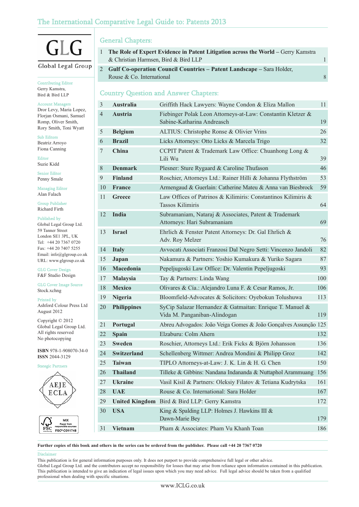# The International Comparative Legal Guide to: Patents 2013

# $\sqrt{2}$

# Global Legal Group

Contributing Editor Gerry Kamstra, Bird & Bird LLP

# Account Manager

Dror Levy, Maria Lopez, Florjan Osmani, Samuel Romp, Oliver Smith, Rory Smith, Toni Wyatt

Sub Editors Beatriz Arroyo Fiona Canning

Editor Suzie Kidd

Senior Editor Penny Smale

Managing Editor Alan Falach

Group Publisher Richard Firth

# Published by

Global Legal Group Ltd. 59 Tanner Street London SE1 3PL, UK Tel: +44 20 7367 0720 Fax: +44 20 7407 5255 Email: info@glgroup.co.uk URL: www.glgroup.co.uk

GLG Cover Design F&F Studio Design

GLG Cover Image Source Stock.xchng

Printed by

Ashford Colour Press Ltd August 2012

Copyright © 2012 Global Legal Group Ltd. All rights reserved No photocopying

**ISBN** 978-1-908070-34-0 **ISSN** 2044-3129

Stategic Partners



FSC\* C011748

General Chapters:

- 1 **The Role of Expert Evidence in Patent Litigation across the World Gerry Kamstra** & Christian Harmsen, Bird & Bird LLP 1
- 2 **Gulf Co-operation Council Countries Patent Landscape** Sara Holder, Rouse & Co. International 8 and 8 and 8 and 8 and 8 and 8 and 8 and 8 and 8 and 8 and 8 and 8 and 8 and 8 and 8 and 8 and 8 and 8 and 8 and 8 and 8 and 8 and 8 and 8 and 8 and 8 and 8 and 8 and 8 and 8 and 8 and 8 and 8 an

# Country Question and Answer Chapters:

| $\mathfrak{Z}$ | <b>Australia</b>   | Griffith Hack Lawyers: Wayne Condon & Eliza Mallon                                        | 11  |
|----------------|--------------------|-------------------------------------------------------------------------------------------|-----|
| $\overline{4}$ | <b>Austria</b>     | Fiebinger Polak Leon Attorneys-at-Law: Constantin Kletzer &<br>Sabine-Katharina Andreasch | 19  |
| 5              | <b>Belgium</b>     | ALTIUS: Christophe Ronse & Olivier Vrins                                                  | 26  |
| 6              | <b>Brazil</b>      | Licks Attorneys: Otto Licks & Marcela Trigo                                               | 32  |
| 7              | China              | CCPIT Patent & Trademark Law Office: Chuanhong Long &<br>Lili Wu                          | 39  |
| 8              | <b>Denmark</b>     | Plesner: Sture Rygaard & Caroline Thufason                                                | 46  |
| 9              | <b>Finland</b>     | Roschier, Attorneys Ltd.: Rainer Hilli & Johanna Flythström                               | 53  |
| 10             | <b>France</b>      | Armengaud & Guerlain: Catherine Mateu & Anna van Biesbrock                                | 59  |
| 11             | Greece             | Law Offices of Patrinos & Kilimiris: Constantinos Kilimiris &<br><b>Tassos Kilimiris</b>  | 64  |
| 12             | India              | Subramaniam, Nataraj & Associates, Patent & Trademark<br>Attorneys: Hari Subramaniam      | 69  |
| 13             | <b>Israel</b>      | Ehrlich & Fenster Patent Attorneys: Dr. Gal Ehrlich &<br>Adv. Roy Melzer                  | 76  |
| 14             | <b>Italy</b>       | Avvocati Associati Franzosi Dal Negro Setti: Vincenzo Jandoli                             | 82  |
| 15             | Japan              | Nakamura & Partners: Yoshio Kumakura & Yuriko Sagara                                      | 87  |
| 16             | Macedonia          | Pepeljugoski Law Office: Dr. Valentin Pepeljugoski                                        | 93  |
| 17             | Malaysia           | Tay & Partners: Linda Wang                                                                | 100 |
| 18             | <b>Mexico</b>      | Olivares & Cía.: Alejandro Luna F. & Cesar Ramos, Jr.                                     | 106 |
| 19             | Nigeria            | Bloomfield-Advocates & Solicitors: Oyebokun Tolushuwa                                     | 113 |
| 20             | <b>Philippines</b> | SyCip Salazar Hernandez & Gatmaitan: Enrique T. Manuel &<br>Vida M. Panganiban-Alindogan  | 119 |
| 21             | Portugal           | Abreu Advogados: João Veiga Gomes & João Gonçalves Assunção 125                           |     |
| 22             | <b>Spain</b>       | Elzaburu: Colm Ahern                                                                      | 132 |
| 23             | <b>Sweden</b>      | Roschier, Attorneys Ltd.: Erik Ficks & Björn Johansson                                    | 136 |
| 24             | <b>Switzerland</b> | Schellenberg Wittmer: Andrea Mondini & Philipp Groz                                       | 142 |
| 25             | <b>Taiwan</b>      | TIPLO Attorneys-at-Law: J. K. Lin & H. G. Chen                                            | 150 |
| $26\,$         | <b>Thailand</b>    | Tilleke & Gibbins: Nandana Indananda & Nuttaphol Arammuang                                | 156 |
| 27             | <b>Ukraine</b>     | Vasil Kisil & Partners: Oleksiy Filatov & Tetiana Kudrytska                               | 161 |
| 28             | <b>UAE</b>         | Rouse & Co. International: Sara Holder                                                    | 167 |
| 29             |                    | United Kingdom Bird & Bird LLP: Gerry Kamstra                                             | 172 |
| 30             | <b>USA</b>         | King & Spalding LLP: Holmes J. Hawkins III &<br>Dawn-Marie Bey                            | 179 |
| 31             | <b>Vietnam</b>     | Pham & Associates: Pham Vu Khanh Toan                                                     | 186 |

**Further copies of this book and others in the series can be ordered from the publisher. Please call +44 20 7367 0720**

#### **Disclaime**

FSC

This publication is for general information purposes only. It does not purport to provide comprehensive full legal or other advice.

Global Legal Group Ltd. and the contributors accept no responsibility for losses that may arise from reliance upon information contained in this publication. This publication is intended to give an indication of legal issues upon which you may need advice. Full legal advice should be taken from a qualified professional when dealing with specific situations.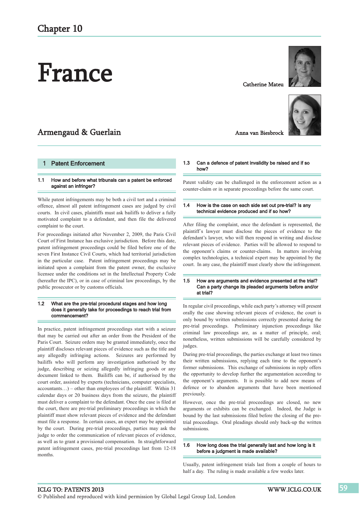# France

# Armengaud & Guerlain

# 1 Patent Enforcement

#### 1.1 How and before what tribunals can a patent be enforced against an infringer?

While patent infringements may be both a civil tort and a criminal offence, almost all patent infringement cases are judged by civil courts. In civil cases, plaintiffs must ask bailiffs to deliver a fully motivated complaint to a defendant, and then file the delivered complaint to the court.

For proceedings initiated after November 2, 2009, the Paris Civil Court of First Instance has exclusive jurisdiction. Before this date, patent infringement proceedings could be filed before one of the seven First Instance Civil Courts, which had territorial jurisdiction in the particular case. Patent infringement proceedings may be initiated upon a complaint from the patent owner, the exclusive licensee under the conditions set in the Intellectual Property Code (hereafter the IPC), or in case of criminal law proceedings, by the public prosecutor or by customs officials.

#### 1.2 What are the pre-trial procedural stages and how long does it generally take for proceedings to reach trial from commencement?

In practice, patent infringement proceedings start with a seizure that may be carried out after an order from the President of the Paris Court. Seizure orders may be granted immediately, once the plaintiff discloses relevant pieces of evidence such as the title and any allegedly infringing actions. Seizures are performed by bailiffs who will perform any investigation authorised by the judge, describing or seizing allegedly infringing goods or any document linked to them. Bailiffs can be, if authorised by the court order, assisted by experts (technicians, computer specialists,  $accountants...$ ) – other than employees of the plaintiff. Within 31 calendar days or 20 business days from the seizure, the plaintiff must deliver a complaint to the defendant. Once the case is filed at the court, there are pre-trial preliminary proceedings in which the plaintiff must show relevant pieces of evidence and the defendant must file a response. In certain cases, an expert may be appointed by the court. During pre-trial proceedings, parties may ask the judge to order the communication of relevant pieces of evidence, as well as to grant a provisional compensation. In straightforward patent infringement cases, pre-trial proceedings last from 12-18 months.

Anna van Biesbrock

Catherine Mateu

# 1.3 Can a defence of patent invalidity be raised and if so how?

Patent validity can be challenged in the enforcement action as a counter-claim or in separate proceedings before the same court.

### 1.4 How is the case on each side set out pre-trial? Is any technical evidence produced and if so how?

After filing the complaint, once the defendant is represented, the plaintiff´s lawyer must disclose the pieces of evidence to the defendant's lawyer, who will then respond in writing and disclose relevant pieces of evidence. Parties will be allowed to respond to the opponent's claims or counter-claims. In matters involving complex technologies, a technical expert may be appointed by the court. In any case, the plaintiff must clearly show the infringement.

# 1.5 How are arguments and evidence presented at the trial? Can a party change its pleaded arguments before and/or at trial?

In regular civil proceedings, while each party's attorney will present orally the case showing relevant pieces of evidence, the court is only bound by written submissions correctly presented during the pre-trial proceedings. Preliminary injunction proceedings like criminal law proceedings are, as a matter of principle, oral; nonetheless, written submissions will be carefully considered by judges.

During pre-trial proceedings, the parties exchange at least two times their written submissions, replying each time to the opponent's former submissions. This exchange of submissions in reply offers the opportunity to develop further the argumentation according to the opponent's arguments. It is possible to add new means of defence or to abandon arguments that have been mentioned previously.

However, once the pre-trial proceedings are closed, no new arguments or exhibits can be exchanged. Indeed, the Judge is bound by the last submissions filed before the closing of the pretrial proceedings. Oral pleadings should only back-up the written submissions.

# 1.6 How long does the trial generally last and how long is it before a judgment is made available?

Usually, patent infringement trials last from a couple of hours to half a day. The ruling is made available a few weeks later.

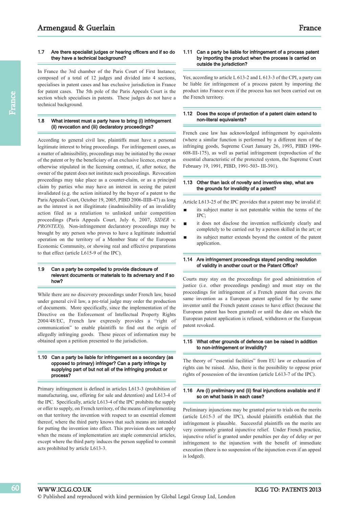# 1.7 Are there specialist judges or hearing officers and if so do they have a technical background?

In France the 3rd chamber of the Paris Court of First Instance, composed of a total of 12 judges and divided into 4 sections, specialises in patent cases and has exclusive jurisdiction in France for patent cases. The 5th pole of the Paris Appeals Court is the section which specialises in patents. These judges do not have a technical background.

# 1.8 What interest must a party have to bring (i) infringement (ii) revocation and (iii) declaratory proceedings?

According to general civil law, plaintiffs must have a personal legitimate interest to bring proceedings. For infringement cases, as a matter of admissibility, proceedings may be initiated by the owner of the patent or by the beneficiary of an exclusive licence, except as otherwise stipulated in the licensing contract, if, after notice, the owner of the patent does not institute such proceedings. Revocation proceedings may take place as a counter-claim, or as a principal claim by parties who may have an interest in seeing the patent invalidated (e.g. the action initiated by the buyer of a patent to the Paris Appeals Court, October 19, 2005, PIBD 2006-IIIB-47) as long as the interest is not illegitimate (inadmissibility of an invalidity action filed as a retaliation to unlinked unfair competition proceedings (Paris Appeals Court, July 6, 2007, *SIDER v. PRONTEX*)). Non-infringement declaratory proceedings may be brought by any person who proves to have a legitimate industrial operation on the territory of a Member State of the European Economic Community, or showing real and effective preparations to that effect (article L615-9 of the IPC).

# 1.9 Can a party be compelled to provide disclosure of relevant documents or materials to its adversary and if so how?

While there are no discovery proceedings under French law, based under general civil law, a pre-trial judge may order the production of documents. More specifically, since the implementation of the Directive on the Enforcement of Intellectual Property Rights 2004/48/EC, French law expressly provides a "right of communication" to enable plaintiffs to find out the origin of allegedly infringing goods. These pieces of information may be obtained upon a petition presented to the jurisdiction.

# 1.10 Can a party be liable for infringement as a secondary (as opposed to primary) infringer? Can a party infringe by supplying part of but not all of the infringing product or process?

Primary infringement is defined in articles L613-3 (prohibition of manufacturing, use, offering for sale and detention) and L613-4 of the IPC. Specifically, article L613-4 of the IPC prohibits the supply or offer to supply, on French territory, of the means of implementing on that territory the invention with respect to an essential element thereof, where the third party knows that such means are intended for putting the invention into effect. This provision does not apply when the means of implementation are staple commercial articles, except where the third party induces the person supplied to commit acts prohibited by article L613-3.

# 1.11 Can a party be liable for infringement of a process patent by importing the product when the process is carried on outside the jurisdiction?

Yes, according to article L 613-2 and L 613-3 of the CPI, a party can be liable for infringement of a process patent by importing the product into France even if the process has not been carried out on the French territory.

# 1.12 Does the scope of protection of a patent claim extend to non-literal equivalents?

French case law has acknowledged infringement by equivalents (where a similar function is performed by a different item of the infringing goods, Supreme Court January 26, 1993, PIBD 1996- 608-III-175), as well as partial infringement (reproduction of the essential characteristic of the protected system, the Supreme Court February 19, 1991, PIBD, 1991-503- III-391).

### 1.13 Other than lack of novelty and inventive step, what are the grounds for invalidity of a patent?

Article L613-25 of the IPC provides that a patent may be invalid if:

- its subject matter is not patentable within the terms of the IPC;
- it does not disclose the invention sufficiently clearly and completely to be carried out by a person skilled in the art; or
- its subject matter extends beyond the content of the patent г application.

# 1.14 Are infringement proceedings stayed pending resolution of validity in another court or the Patent Office?

Courts may stay on the proceedings for good administration of justice (i.e. other proceedings pending) and must stay on the proceedings for infringement of a French patent that covers the same invention as a European patent applied for by the same inventor until the French patent ceases to have effect (because the European patent has been granted) or until the date on which the European patent application is refused, withdrawn or the European patent revoked.

# 1.15 What other grounds of defence can be raised in addition to non-infringement or invalidity?

The theory of "essential facilities" from EU law or exhaustion of rights can be raised. Also, there is the possibility to oppose prior rights of possession of the invention (article L613-7 of the IPC).

# 1.16 Are (i) preliminary and (ii) final injunctions available and if so on what basis in each case?

Preliminary injunctions may be granted prior to trials on the merits (article L615-3 of the IPC), should plaintiffs establish that the infringement is plausible. Successful plaintiffs on the merits are very commonly granted injunctive relief. Under French practice, injunctive relief is granted under penalties per day of delay or per infringement to the injunction with the benefit of immediate execution (there is no suspension of the injunction even if an appeal is lodged).

60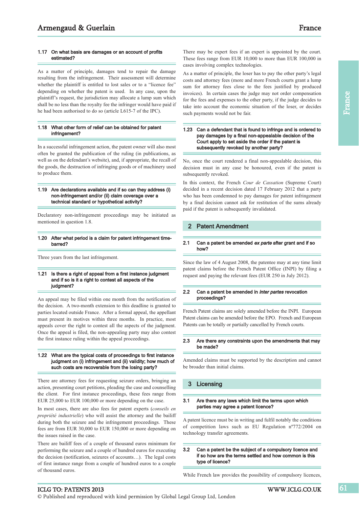As a matter of principle, damages tend to repair the damage resulting from the infringement. Their assessment will determine whether the plaintiff is entitled to lost sales or to a "licence fee" depending on whether the patent is used. In any case, upon the plaintiff's request, the jurisdiction may allocate a lump sum which shall be no less than the royalty fee the infringer would have paid if he had been authorised to do so (article L615-7 of the IPC).

# 1.18 What other form of relief can be obtained for patent infringement?

In a successful infringement action, the patent owner will also most often be granted the publication of the ruling (in publications, as well as on the defendant's website), and, if appropriate, the recall of the goods, the destruction of infringing goods or of machinery used to produce them.

## 1.19 Are declarations available and if so can they address (i) non-infringement and/or (ii) claim coverage over a technical standard or hypothetical activity?

Declaratory non-infringement proceedings may be initiated as mentioned in question 1.8.

#### 1.20 After what period is a claim for patent infringement timebarred?

Three years from the last infringement.

# 1.21 Is there a right of appeal from a first instance judgment and if so is it a right to contest all aspects of the judgment?

An appeal may be filed within one month from the notification of the decision. A two-month extension to this deadline is granted to parties located outside France. After a formal appeal, the appellant must present its motives within three months. In practice, most appeals cover the right to contest all the aspects of the judgment. Once the appeal is filed, the non-appealing party may also contest the first instance ruling within the appeal proceedings.

# 1.22 What are the typical costs of proceedings to first instance judgment on (i) infringement and (ii) validity; how much of such costs are recoverable from the losing party?

There are attorney fees for requesting seizure orders, bringing an action, presenting court petitions, pleading the case and counselling the client. For first instance proceedings, these fees range from EUR 25,000 to EUR 100,000 or more depending on the case.

In most cases, there are also fees for patent experts (*conseils en propriété industrielle*) who will assist the attorney and the bailiff during both the seizure and the infringement proceedings. These fees are from EUR 30,000 to EUR 150,000 or more depending on the issues raised in the case.

There are bailiff fees of a couple of thousand euros minimum for performing the seizure and a couple of hundred euros for executing the decision (notification, seizures of accounts…). The legal costs of first instance range from a couple of hundred euros to a couple of thousand euros.

There may be expert fees if an expert is appointed by the court. These fees range from EUR 10,000 to more than EUR 100,000 in cases involving complex technologies.

As a matter of principle, the loser has to pay the other party's legal costs and attorney fees (more and more French courts grant a lump sum for attorney fees close to the fees justified by produced invoices). In certain cases the judge may not order compensation for the fees and expenses to the other party, if the judge decides to take into account the economic situation of the loser, or decides such payments would not be fair.

# 1.23 Can a defendant that is found to infringe and is ordered to pay damages by a final non-appealable decision of the Court apply to set aside the order if the patent is subsequently revoked by another party?

No, once the court rendered a final non-appealable decision, this decision must in any case be honoured, even if the patent is subsequently revoked.

In this context, the French *Cour de Cassation* (Supreme Court) decided in a recent decision dated 17 February 2012 that a party who has been condemned to pay damages for patent infringement by a final decision cannot ask for restitution of the sums already paid if the patent is subsequently invalidated.

# 2 Patent Amendment

#### 2.1 Can a patent be amended ex parte after grant and if so how?

Since the law of 4 August 2008, the patentee may at any time limit patent claims before the French Patent Office (INPI) by filing a request and paying the relevant fees (EUR 250 in July 2012).

# 2.2 Can a patent be amended in *inter partes* revocation proceedings?

French Patent claims are solely amended before the INPI. European Patent claims can be amended before the EPO. French and European Patents can be totally or partially cancelled by French courts.

# 2.3 Are there any constraints upon the amendments that may be made?

Amended claims must be supported by the description and cannot be broader than initial claims.

# 3 Licensing

#### 3.1 Are there any laws which limit the terms upon which parties may agree a patent licence?

A patent licence must be in writing and fulfil notably the conditions of competition laws such as EU Regulation nº772/2004 on technology transfer agreements.

# 3.2 Can a patent be the subject of a compulsory licence and if so how are the terms settled and how common is this type of licence?

While French law provides the possibility of compulsory licences,

# ICLG TO: PATENTS 2013 WWW.ICLG.CO.UK

© Published and reproduced with kind permission by Global Legal Group Ltd, London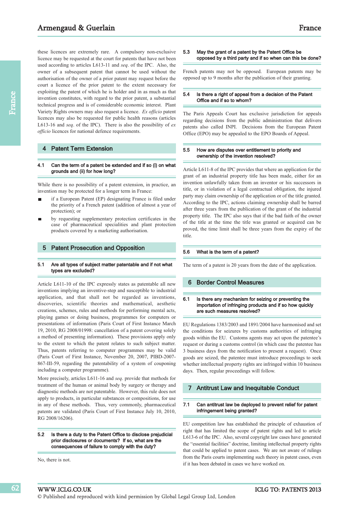these licences are extremely rare. A compulsory non-exclusive licence may be requested at the court for patents that have not been used according to articles L613-11 and *seq*. of the IPC. Also, the owner of a subsequent patent that cannot be used without the authorisation of the owner of a prior patent may request before the court a licence of the prior patent to the extent necessary for exploiting the patent of which he is holder and in as much as that invention constitutes, with regard to the prior patent, a substantial technical progress and is of considerable economic interest. Plant Variety Rights owners may also request a licence. *Ex officio* patent licences may also be requested for public health reasons (articles L613-16 and *seq*. of the IPC). There is also the possibility of *ex officio* licences for national defence requirements.

# **Patent Term Extension**

#### 4.1 Can the term of a patent be extended and if so (i) on what grounds and (ii) for how long?

While there is no possibility of a patent extension, in practice, an invention may be protected for a longer term in France:

- if a European Patent (EP) designating France is filed under the priority of a French patent (addition of almost a year of protection); or
- by requesting supplementary protection certificates in the case of pharmaceutical specialities and plant protection products covered by a marketing authorisation.

# 5 Patent Prosecution and Opposition

#### 5.1 Are all types of subject matter patentable and if not what types are excluded?

Article L611-10 of the IPC expressly states as patentable all new inventions implying an inventive-step and susceptible to industrial application, and that shall not be regarded as inventions, discoveries, scientific theories and mathematical, aesthetic creations, schemes, rules and methods for performing mental acts, playing games or doing business, programmes for computers or presentations of information (Paris Court of First Instance March 19, 2010, RG 2008/01998: cancellation of a patent covering solely a method of presenting information). These provisions apply only to the extent to which the patent relates to such subject matter. Thus, patents referring to computer programmes may be valid (Paris Court of First Instance, November 20, 2007, PIBD-2007- 867-III-59, regarding the patentability of a system of couponing including a computer programme).

More precisely, articles L611-16 and *seq*. provide that methods for treatment of the human or animal body by surgery or therapy and diagnostic methods are not patentable. However, this rule does not apply to products, in particular substances or compositions, for use in any of these methods. Thus, very commonly, pharmaceutical patents are validated (Paris Court of First Instance July 10, 2010, RG 2008/16206).

#### 5.2 Is there a duty to the Patent Office to disclose prejudicial prior disclosures or documents? If so, what are the consequences of failure to comply with the duty?

No, there is not.

62

# 5.3 May the grant of a patent by the Patent Office be opposed by a third party and if so when can this be done?

French patents may not be opposed. European patents may be opposed up to 9 months after the publication of their granting.

# 5.4 Is there a right of appeal from a decision of the Patent Office and if so to whom?

The Paris Appeals Court has exclusive jurisdiction for appeals regarding decisions from the public administration that delivers patents also called INPI. Decisions from the European Patent Office (EPO) may be appealed to the EPO Boards of Appeal.

### 5.5 How are disputes over entitlement to priority and ownership of the invention resolved?

Article L611-8 of the IPC provides that where an application for the grant of an industrial property title has been made, either for an invention unlawfully taken from an inventor or his successors in title, or in violation of a legal contractual obligation, the injured party may claim ownership of the application or of the title granted. According to the IPC, actions claiming ownership shall be barred after three years from the publication of the grant of the industrial property title. The IPC also says that if the bad faith of the owner of the title at the time the title was granted or acquired can be proved, the time limit shall be three years from the expiry of the title.

#### 5.6 What is the term of a patent?

The term of a patent is 20 years from the date of the application.

# 6 Border Control Measures

# 6.1 Is there any mechanism for seizing or preventing the importation of infringing products and if so how quickly are such measures resolved?

EU Regulations 1383/2003 and 1891/2004 have harmonised and set the conditions for seizures by customs authorities of infringing goods within the EU. Customs agents may act upon the patentee's request or during a customs control (in which case the patentee has 3 business days from the notification to present a request). Once goods are seized, the patentee must introduce proceedings to seek whether intellectual property rights are infringed within 10 business days. Then, regular proceedings will follow.

# 7 Antitrust Law and Inequitable Conduct

#### 7.1 Can antitrust law be deployed to prevent relief for patent infringement being granted?

EU competition law has established the principle of exhaustion of right that has limited the scope of patent rights and led to article L613-6 of the IPC. Also, several copyright law cases have generated the "essential facilities" doctrine, limiting intellectual property rights that could be applied to patent cases. We are not aware of rulings from the Paris courts implementing such theory in patent cases, even if it has been debated in cases we have worked on.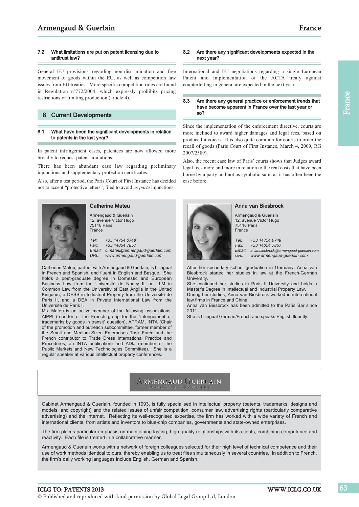# 7.2 What limitations are put on patent licensing due to antitrust law?

General EU provisions regarding non-discrimination and free movement of goods within the EU, as well as competition law issues from EU treaties. More specific competition rules are found in Regulation nº772/2004, which expressly prohibits pricing restrictions or limiting production (article 4).

# 8 Current Developments

## 8.1 What have been the significant developments in relation to patents in the last year?

In patent infringement cases, patentees are now allowed more broadly to request patent limitations.

There has been abundant case law regarding preliminary injunctions and supplementary protection certificates.

Also, after a test period, the Paris Court of First Instance has decided not to accept "protective letters", filed to avoid *ex parte* injunctions.



# Catherine Mateu

Armengaud & Guerlain 12, avenue Victor Hugo 75116 Paris France

Tel: +33 14754 0748 Fax: +33 14054 7857 Email: c.mateu@armengaud-guerlain.com URL: www.armengaud-guerlain.com

Catherine Mateu, partner with Armengaud & Guerlain, is bilingual in French and Spanish, and fluent in English and Basque. She holds a post-graduate degree in Domestic and European Business Law from the Université de Nancy II, an LLM in Common Law from the University of East Anglia in the United Kingdom, a DESS in Industrial Property from the Université de Paris II, and a DEA in Private International Law from the Université de Paris I.

Ms. Mateu is an active member of the following associations: AIPPI (reporter of the French group for the "infringement of trademarks by goods in transit" question), APRAM, INTA (Chair of the promotion and outreach subcommittee, former member of the Small and Medium-Sized Enterprises Task Force and the French contributor to Trade Dress International Practice and Procedures, an INTA publication) and ADIJ (member of the Public Markets and New Technologies Committee). She is a regular speaker at various intellectual property conferences.

# 8.2 Are there any significant developments expected in the next year?

International and EU negotiations regarding a single European Patent and implementation of the ACTA treaty against counterfeiting in general are expected in the next year.

#### 8.3 Are there any general practice or enforcement trends that have become apparent in France over the last year or so?

Since the implementation of the enforcement directive, courts are more inclined to award higher damages and legal fees, based on produced invoices. It is also quite common for courts to order the recall of goods (Paris Court of First Instance, March 4, 2009, RG 2007/2589).

Also, the recent case law of Paris' courts shows that Judges award legal fees more and more in relation to the real costs that have been borne by a party and not as symbolic sum, as it has often been the case before.



Anna van Biesbrock

Armengaud & Guerlain 12, avenue Victor Hugo 75116 Paris France

Tel: +33 14754 0748 Fax: +33 14054 7857 Email: a.vanbiesbrock@armengaud-guerlain.com

URL: www.armengaud-guerlain.com After her secondary school graduation in Germany, Anna van

Biesbrock started her studies in law at the French-German University.

She continued her studies in Paris II University and holds a Master's Degree in Intellectual and Industrial Property Law. During her studies, Anna van Biesbrock worked in international

law firms in France and China. Anna van Biesbrock has been admitted to the Paris Bar since

2011.

She is bilingual German/French and speaks English fluently.

# **ARMENGAUD GUERLAIN**

Cabinet Armengaud & Guerlain, founded in 1993, is fully specialised in intellectual property (patents, trademarks, designs and models, and copyright) and the related issues of unfair competition, consumer law, advertising rights (particularly comparative advertising) and the Internet. Reflecting its well-recognised expertise, the firm has worked with a wide variety of French and international clients, from artists and inventors to blue-chip companies, governments and state-owned enterprises.

The firm places particular emphasis on maintaining lasting, high-quality relationships with its clients, combining competence and reactivity. Each file is treated in a collaborative manner.

Armengaud & Guerlain works with a network of foreign colleagues selected for their high level of technical competence and their use of work methods identical to ours, thereby enabling us to treat files simultaneously in several countries. In addition to French, the firm's daily working languages include English, German and Spanish.